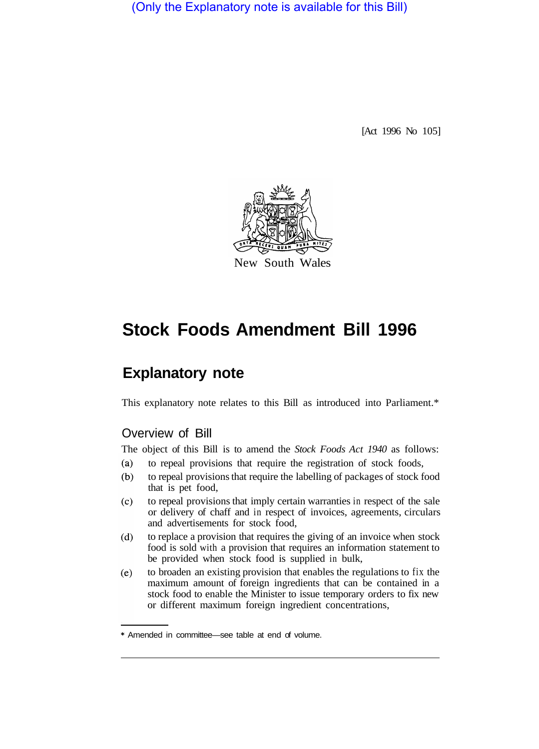(Only the Explanatory note is available for this Bill)

[Act 1996 No 105]



# **Stock Foods Amendment Bill 1996**

## **Explanatory note**

This explanatory note relates to this Bill as introduced into Parliament.\*

### Overview of Bill

The object of this Bill is to amend the *Stock Foods Act 1940* as follows:

- to repeal provisions that require the registration of stock foods,  $(a)$
- to repeal provisions that require the labelling of packages of stock food  $(b)$ that is pet food,
- to repeal provisions that imply certain warranties in respect of the sale  $(c)$ or delivery of chaff and in respect of invoices, agreements, circulars and advertisements for stock food,
- $(d)$ to replace a provision that requires the giving of an invoice when stock food is sold with a provision that requires an information statement to be provided when stock food is supplied in bulk,
- to broaden an existing provision that enables the regulations to fix the  $(e)$ maximum amount of foreign ingredients that can be contained in a stock food to enable the Minister to issue temporary orders to fix new or different maximum foreign ingredient concentrations,

<sup>\*</sup> Amended in committee—see table at end of volume.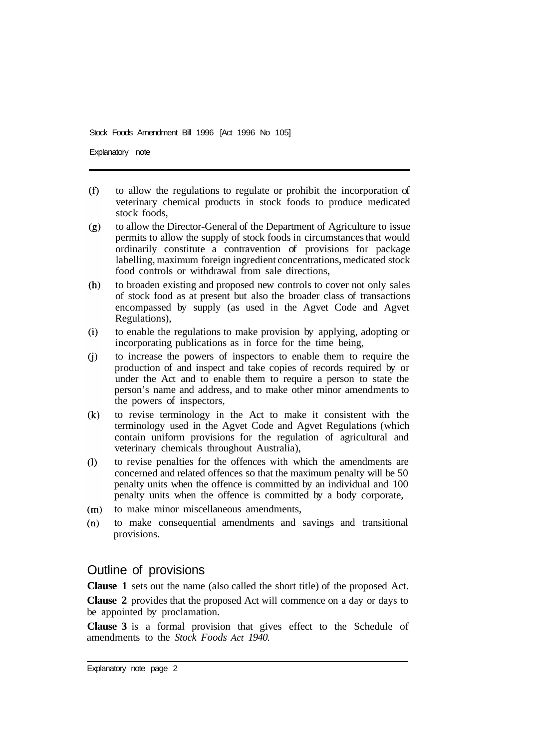Explanatory note

- $(f)$ to allow the regulations to regulate or prohibit the incorporation of veterinary chemical products in stock foods to produce medicated stock foods,
- to allow the Director-General of the Department of Agriculture to issue  $(g)$ permits to allow the supply of stock foods in circumstances that would ordinarily constitute a contravention of provisions for package labelling, maximum foreign ingredient concentrations, medicated stock food controls or withdrawal from sale directions,
- $(h)$ to broaden existing and proposed new controls to cover not only sales of stock food as at present but also the broader class of transactions encompassed by supply (as used in the Agvet Code and Agvet Regulations),
- to enable the regulations to make provision by applying, adopting or  $(i)$ incorporating publications as in force for the time being,
- to increase the powers of inspectors to enable them to require the  $(i)$ production of and inspect and take copies of records required by or under the Act and to enable them to require a person to state the person's name and address, and to make other minor amendments to the powers of inspectors,
- $(k)$ to revise terminology in the Act to make it consistent with the terminology used in the Agvet Code and Agvet Regulations (which contain uniform provisions for the regulation of agricultural and veterinary chemicals throughout Australia),
- $(1)$ to revise penalties for the offences with which the amendments are concerned and related offences so that the maximum penalty will be 50 penalty units when the offence is committed by an individual and 100 penalty units when the offence is committed by a body corporate,
- to make minor miscellaneous amendments,  $(m)$
- $(n)$ to make consequential amendments and savings and transitional provisions.

### Outline of provisions

**Clause 1** sets out the name (also called the short title) of the proposed Act.

**Clause 2** provides that the proposed Act will commence on a day or days to be appointed by proclamation.

**Clause 3** is a formal provision that gives effect to the Schedule of amendments to the *Stock Foods Act 1940.* 

Explanatory note page 2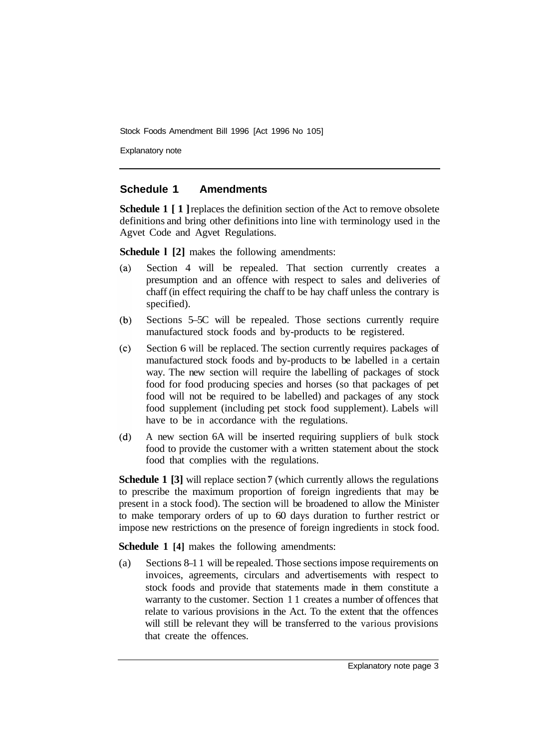Explanatory note

#### **Schedule 1 Amendments**

**Schedule 1** [1] **replaces** the definition section of the Act to remove obsolete definitions and bring other definitions into line with terminology used in the Agvet Code and Agvet Regulations.

**Schedule 1 [2]** makes the following amendments:

- Section 4 will be repealed. That section currently creates a  $(a)$ presumption and an offence with respect to sales and deliveries of chaff (in effect requiring the chaff to be hay chaff unless the contrary is specified).
- Sections 5–5C will be repealed. Those sections currently require  $(b)$ manufactured stock foods and by-products to be registered.
- $(c)$ Section 6 will be replaced. The section currently requires packages of manufactured stock foods and by-products to be labelled in a certain way. The new section will require the labelling of packages of stock food for food producing species and horses (so that packages of pet food will not be required to be labelled) and packages of any stock food supplement (including pet stock food supplement). Labels will have to be in accordance with the regulations.
- A new section 6A will be inserted requiring suppliers of bulk stock  $(d)$ food to provide the customer with a written statement about the stock food that complies with the regulations.

**Schedule 1 [3]** will replace section 7 (which currently allows the regulations to prescribe the maximum proportion of foreign ingredients that may be present in a stock food). The section will be broadened to allow the Minister to make temporary orders of up to 60 days duration to further restrict or impose new restrictions on the presence of foreign ingredients in stock food.

**Schedule 1 [4]** makes the following amendments:

(a) Sections 8–1 1 will be repealed. Those sections impose requirements on invoices, agreements, circulars and advertisements with respect to stock foods and provide that statements made in them constitute a warranty to the customer. Section 1 1 creates a number of offences that relate to various provisions in the Act. To the extent that the offences will still be relevant they will be transferred to the various provisions that create the offences.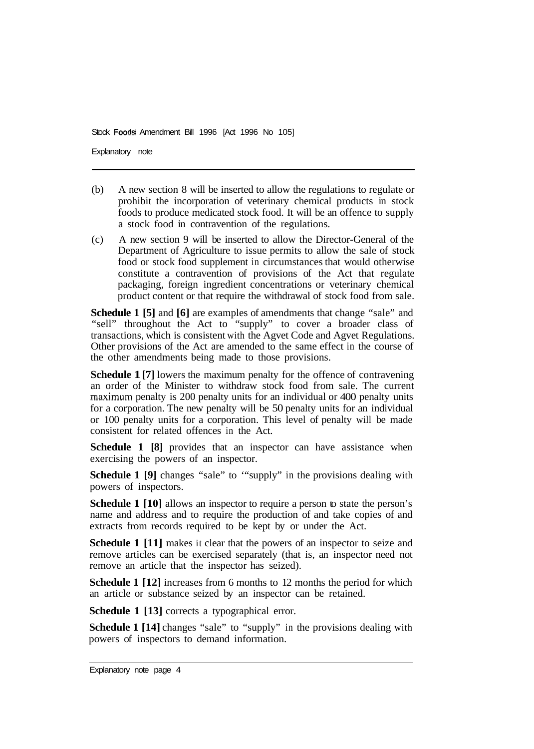Explanatory note

- (b) A new section 8 will be inserted to allow the regulations to regulate or prohibit the incorporation of veterinary chemical products in stock foods to produce medicated stock food. It will be an offence to supply a stock food in contravention of the regulations.
- (c) A new section 9 will be inserted to allow the Director-General of the Department of Agriculture to issue permits to allow the sale of stock food or stock food supplement in circumstances that would otherwise constitute a contravention of provisions of the Act that regulate packaging, foreign ingredient concentrations or veterinary chemical product content or that require the withdrawal of stock food from sale.

**Schedule 1 [5]** and **[6]** are examples of amendments that change "sale" and "sell" throughout the Act to "supply" to cover a broader class of transactions, which is consistent with the Agvet Code and Agvet Regulations. Other provisions of the Act are amended to the same effect in the course of the other amendments being made to those provisions.

**Schedule 1 [7]** lowers the maximum penalty for the offence of contravening an order of the Minister to withdraw stock food from sale. The current maximum penalty is 200 penalty units for an individual or 400 penalty units for a corporation. The new penalty will be 50 penalty units for an individual or 100 penalty units for a corporation. This level of penalty will be made consistent for related offences in the Act.

**Schedule 1 [8]** provides that an inspector can have assistance when exercising the powers of an inspector.

**Schedule 1 [9]** changes "sale" to "supply" in the provisions dealing with powers of inspectors.

**Schedule 1 [10]** allows an inspector to require a person to state the person's name and address and to require the production of and take copies of and extracts from records required to be kept by or under the Act.

**Schedule 1 [11]** makes it clear that the powers of an inspector to seize and remove articles can be exercised separately (that is, an inspector need not remove an article that the inspector has seized).

**Schedule 1 [12]** increases from 6 months to 12 months the period for which an article or substance seized by an inspector can be retained.

**Schedule 1 [13] corrects a typographical error.** 

**Schedule 1 [14]** changes "sale" to "supply" in the provisions dealing with powers of inspectors to demand information.

Explanatory note page 4